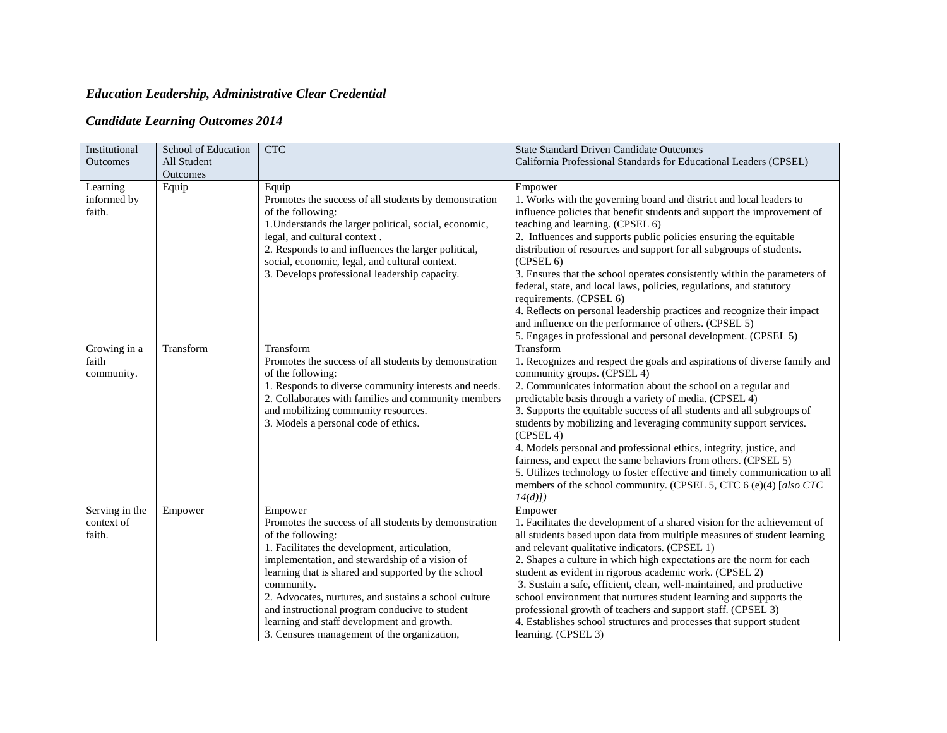## *Education Leadership, Administrative Clear Credential*

## *Candidate Learning Outcomes 2014*

| Institutional<br>Outcomes              | School of Education<br>All Student | <b>CTC</b>                                                                                                                                                                                                                                                                                                                                                                                                                                                            | <b>State Standard Driven Candidate Outcomes</b><br>California Professional Standards for Educational Leaders (CPSEL)                                                                                                                                                                                                                                                                                                                                                                                                                                                                                                                                                                                                                          |
|----------------------------------------|------------------------------------|-----------------------------------------------------------------------------------------------------------------------------------------------------------------------------------------------------------------------------------------------------------------------------------------------------------------------------------------------------------------------------------------------------------------------------------------------------------------------|-----------------------------------------------------------------------------------------------------------------------------------------------------------------------------------------------------------------------------------------------------------------------------------------------------------------------------------------------------------------------------------------------------------------------------------------------------------------------------------------------------------------------------------------------------------------------------------------------------------------------------------------------------------------------------------------------------------------------------------------------|
| Learning<br>informed by<br>faith.      | Outcomes<br>Equip                  | Equip<br>Promotes the success of all students by demonstration<br>of the following:<br>1. Understands the larger political, social, economic,<br>legal, and cultural context.<br>2. Responds to and influences the larger political,<br>social, economic, legal, and cultural context.<br>3. Develops professional leadership capacity.                                                                                                                               | Empower<br>1. Works with the governing board and district and local leaders to<br>influence policies that benefit students and support the improvement of<br>teaching and learning. (CPSEL 6)<br>2. Influences and supports public policies ensuring the equitable<br>distribution of resources and support for all subgroups of students.<br>(CPSEL 6)<br>3. Ensures that the school operates consistently within the parameters of<br>federal, state, and local laws, policies, regulations, and statutory<br>requirements. (CPSEL 6)<br>4. Reflects on personal leadership practices and recognize their impact<br>and influence on the performance of others. (CPSEL 5)<br>5. Engages in professional and personal development. (CPSEL 5) |
| Growing in a<br>faith<br>community.    | Transform                          | Transform<br>Promotes the success of all students by demonstration<br>of the following:<br>1. Responds to diverse community interests and needs.<br>2. Collaborates with families and community members<br>and mobilizing community resources.<br>3. Models a personal code of ethics.                                                                                                                                                                                | Transform<br>1. Recognizes and respect the goals and aspirations of diverse family and<br>community groups. (CPSEL 4)<br>2. Communicates information about the school on a regular and<br>predictable basis through a variety of media. (CPSEL 4)<br>3. Supports the equitable success of all students and all subgroups of<br>students by mobilizing and leveraging community support services.<br>(CPSEL 4)<br>4. Models personal and professional ethics, integrity, justice, and<br>fairness, and expect the same behaviors from others. (CPSEL 5)<br>5. Utilizes technology to foster effective and timely communication to all<br>members of the school community. (CPSEL 5, CTC 6 (e)(4) [also CTC<br>$14(d)$ ]                        |
| Serving in the<br>context of<br>faith. | Empower                            | Empower<br>Promotes the success of all students by demonstration<br>of the following:<br>1. Facilitates the development, articulation,<br>implementation, and stewardship of a vision of<br>learning that is shared and supported by the school<br>community.<br>2. Advocates, nurtures, and sustains a school culture<br>and instructional program conducive to student<br>learning and staff development and growth.<br>3. Censures management of the organization, | Empower<br>1. Facilitates the development of a shared vision for the achievement of<br>all students based upon data from multiple measures of student learning<br>and relevant qualitative indicators. (CPSEL 1)<br>2. Shapes a culture in which high expectations are the norm for each<br>student as evident in rigorous academic work. (CPSEL 2)<br>3. Sustain a safe, efficient, clean, well-maintained, and productive<br>school environment that nurtures student learning and supports the<br>professional growth of teachers and support staff. (CPSEL 3)<br>4. Establishes school structures and processes that support student<br>learning. (CPSEL 3)                                                                               |